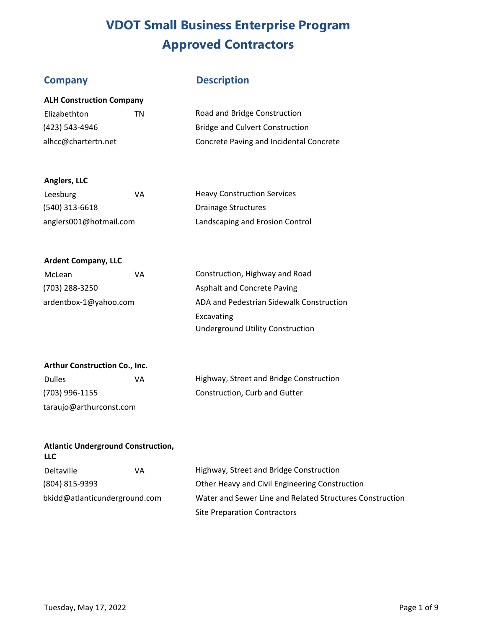**ALH Construction Company** 

# **Company Description**

| Elizabethton        | TN. | Road and Bridge Construction            |
|---------------------|-----|-----------------------------------------|
| (423) 543-4946      |     | <b>Bridge and Culvert Construction</b>  |
| alhcc@chartertn.net |     | Concrete Paving and Incidental Concrete |

## **Anglers, LLC**

| Leesburg               | ۷A | <b>Heavy Construction Services</b> |
|------------------------|----|------------------------------------|
| (540) 313-6618         |    | Drainage Structures                |
| anglers001@hotmail.com |    | Landscaping and Erosion Control    |

### **Ardent Company, LLC**

| McLean                | VA | Construction, Highway and Road           |
|-----------------------|----|------------------------------------------|
| (703) 288-3250        |    | Asphalt and Concrete Paving              |
| ardentbox-1@yahoo.com |    | ADA and Pedestrian Sidewalk Construction |
|                       |    | Excavating                               |
|                       |    | <b>Underground Utility Construction</b>  |

## **Arthur Construction Co., Inc.**

| <b>Dulles</b>           | VA |
|-------------------------|----|
| (703) 996-1155          |    |
| taraujo@arthurconst.com |    |

Highway, Street and Bridge Construction Construction, Curb and Gutter

### **Atlantic Underground Construction, LLC**

| <b>Deltaville</b>             | VA | Highway, Street and Bridge Construction                  |
|-------------------------------|----|----------------------------------------------------------|
| (804) 815-9393                |    | Other Heavy and Civil Engineering Construction           |
| bkidd@atlanticunderground.com |    | Water and Sewer Line and Related Structures Construction |
|                               |    | <b>Site Preparation Contractors</b>                      |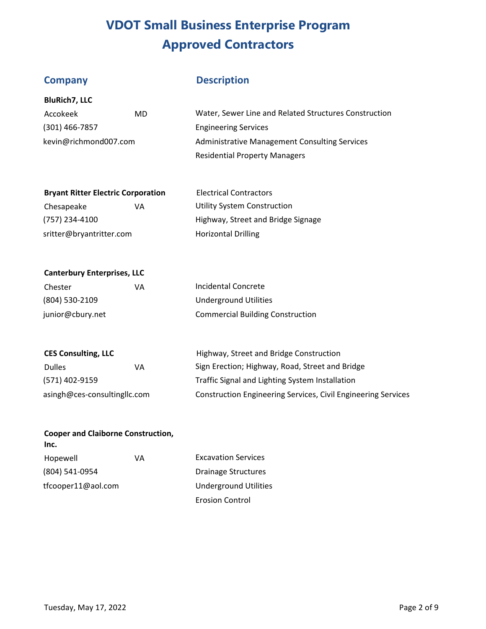**BluRich7, LLC** 

**Canterbury Enterprises, LLC** 

# **Company Description**

| Accokeek              | MD | Water, Sewer Line and Related Structures Construction |
|-----------------------|----|-------------------------------------------------------|
| $(301)$ 466-7857      |    | <b>Engineering Services</b>                           |
| kevin@richmond007.com |    | Administrative Management Consulting Services         |
|                       |    | <b>Residential Property Managers</b>                  |

| <b>Bryant Ritter Electric Corporation</b> |    | <b>Electrical Contractors</b>      |
|-------------------------------------------|----|------------------------------------|
| Chesapeake                                | VА | <b>Utility System Construction</b> |
| (757) 234-4100                            |    | Highway, Street and Bridge Signage |
| sritter@bryantritter.com                  |    | <b>Horizontal Drilling</b>         |

| Chester          | VA | Incidental Concrete                     |
|------------------|----|-----------------------------------------|
| (804) 530-2109   |    | Underground Utilities                   |
| junior@cbury.net |    | <b>Commercial Building Construction</b> |

| <b>CES Consulting, LLC</b>   |    | Highway, Street and Bridge Construction                              |
|------------------------------|----|----------------------------------------------------------------------|
| <b>Dulles</b>                | VA | Sign Erection; Highway, Road, Street and Bridge                      |
| (571) 402-9159               |    | Traffic Signal and Lighting System Installation                      |
| asingh@ces-consultingllc.com |    | <b>Construction Engineering Services, Civil Engineering Services</b> |

Erosion Control

| <b>Cooper and Claiborne Construction,</b><br>Inc. |    |                              |  |
|---------------------------------------------------|----|------------------------------|--|
| Hopewell                                          | ۷A | <b>Excavation Services</b>   |  |
| (804) 541-0954                                    |    | <b>Drainage Structures</b>   |  |
| tfcooper11@aol.com                                |    | <b>Underground Utilities</b> |  |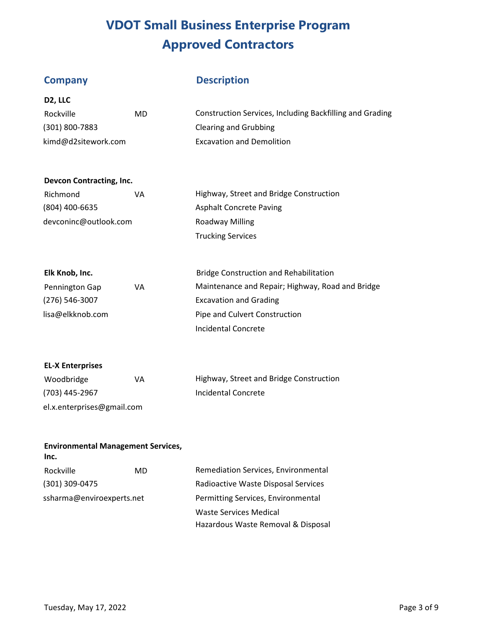**D2, LLC** 

# **Company Description**

| Rockville           | MD | Construction Services, Including Backfilling and Grading |
|---------------------|----|----------------------------------------------------------|
| $(301) 800 - 7883$  |    | Clearing and Grubbing                                    |
| kimd@d2sitework.com |    | <b>Excavation and Demolition</b>                         |

### **Devcon Contracting, Inc.**

| Richmond              | VА | Highway, Street and Bridge Construction |
|-----------------------|----|-----------------------------------------|
| (804) 400-6635        |    | <b>Asphalt Concrete Paving</b>          |
| devconinc@outlook.com |    | Roadway Milling                         |
|                       |    | <b>Trucking Services</b>                |

| Elk Knob, Inc.     |    | <b>Bridge Construction and Rehabilitation</b>    |
|--------------------|----|--------------------------------------------------|
| Pennington Gap     | VA | Maintenance and Repair; Highway, Road and Bridge |
| $(276) 546 - 3007$ |    | <b>Excavation and Grading</b>                    |
| lisa@elkknob.com   |    | Pipe and Culvert Construction                    |
|                    |    | Incidental Concrete                              |

### **EL-X Enterprises**

| Woodbridge                 | VA | Highway, Street and Bridge Construction |
|----------------------------|----|-----------------------------------------|
| (703) 445-2967             |    | Incidental Concrete                     |
| el.x.enterprises@gmail.com |    |                                         |

# **Environmental Management Services,**

| Inc.                      |  |                                     |
|---------------------------|--|-------------------------------------|
| Rockville<br>MD           |  | Remediation Services, Environmental |
| (301) 309-0475            |  | Radioactive Waste Disposal Services |
| ssharma@enviroexperts.net |  | Permitting Services, Environmental  |
|                           |  | Waste Services Medical              |
|                           |  | Hazardous Waste Removal & Disposal  |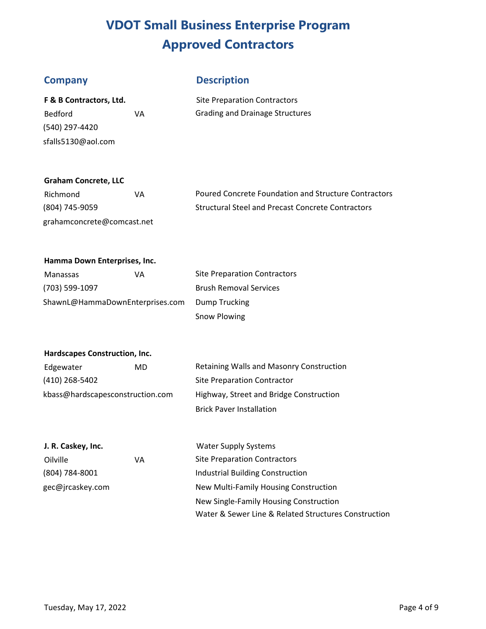## **Company Description**

| F & B Contractors, Ltd. |    |
|-------------------------|----|
| Bedford                 | VА |
| (540) 297-4420          |    |
| sfalls5130@aol.com      |    |

**Site Preparation Contractors** Grading and Drainage Structures

## **Graham Concrete, LLC**

| Richmond                   | VA | Poured Co  |
|----------------------------|----|------------|
| (804) 745-9059             |    | Structural |
| grahamconcrete@comcast.net |    |            |

oncrete Foundation and Structure Contractors Steel and Precast Concrete Contractors

### **Hamma Down Enterprises, Inc.**

| Manassas                        | ۷A | <b>Site Preparation Contractors</b> |
|---------------------------------|----|-------------------------------------|
| (703) 599-1097                  |    | <b>Brush Removal Services</b>       |
| ShawnL@HammaDownEnterprises.com |    | Dump Trucking                       |
|                                 |    | Snow Plowing                        |

### **Hardscapes Construction, Inc.**

| Edgewater                        | MD. | Retaining Walls and Masonry Construction |  |
|----------------------------------|-----|------------------------------------------|--|
| (410) 268-5402                   |     | Site Preparation Contractor              |  |
| kbass@hardscapesconstruction.com |     | Highway, Street and Bridge Construction  |  |
|                                  |     | <b>Brick Paver Installation</b>          |  |

| J. R. Caskey, Inc. |    | <b>Water Supply Systems</b>                          |
|--------------------|----|------------------------------------------------------|
| Oilville           | VA | <b>Site Preparation Contractors</b>                  |
| (804) 784-8001     |    | Industrial Building Construction                     |
| gec@jrcaskey.com   |    | New Multi-Family Housing Construction                |
|                    |    | New Single-Family Housing Construction               |
|                    |    | Water & Sewer Line & Related Structures Construction |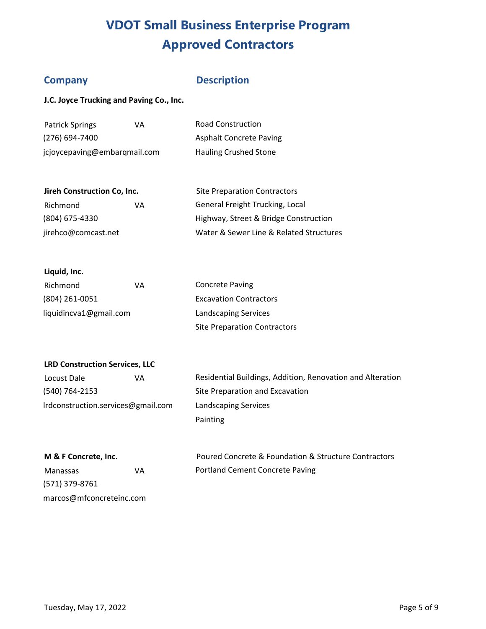# **Company**

## **Description**

Site Preparation Contractors

**J.C. Joyce Trucking and Paving Co., Inc.** 

| <b>Patrick Springs</b>       | ۷A | <b>Road Construction</b>       |
|------------------------------|----|--------------------------------|
| $(276)$ 694-7400             |    | <b>Asphalt Concrete Paving</b> |
| jcjoycepaving@embarqmail.com |    | <b>Hauling Crushed Stone</b>   |

| Richmond            | VA | General Freight Trucking, Local         |
|---------------------|----|-----------------------------------------|
| (804) 675-4330      |    | Highway, Street & Bridge Construction   |
| jirehco@comcast.net |    | Water & Sewer Line & Related Structures |

| Liquid, Inc. |  |
|--------------|--|
|--------------|--|

| Richmond               | VА | <b>Concrete Paving</b>              |
|------------------------|----|-------------------------------------|
| $(804)$ 261-0051       |    | <b>Excavation Contractors</b>       |
| liquidincva1@gmail.com |    | <b>Landscaping Services</b>         |
|                        |    | <b>Site Preparation Contractors</b> |

## **LRD Construction Services, LLC**

| Locust Dale                        | VA |  |
|------------------------------------|----|--|
| (540) 764-2153                     |    |  |
| Irdconstruction.services@gmail.com |    |  |

Residential Buildings, Addition, Renovation and Alteration Site Preparation and Excavation Landscaping Services Painting

| M & F Concrete, Inc. |  |  |  |  |
|----------------------|--|--|--|--|
|----------------------|--|--|--|--|

Manassas VA (571) 379-8761 marcos@mfconcreteinc.com

Poured Concrete & Foundation & Structure Contractors Portland Cement Concrete Paving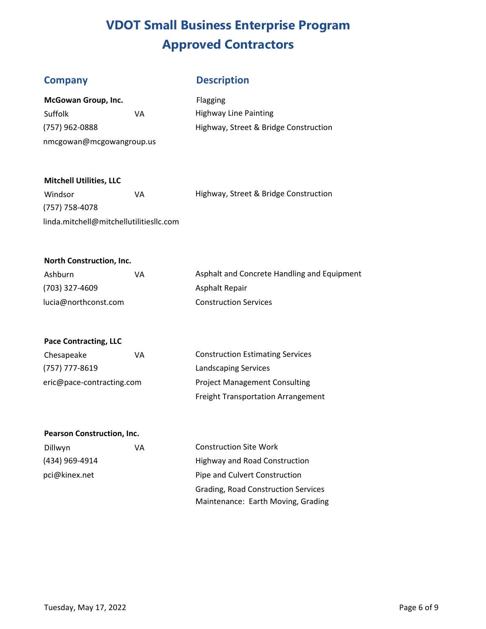# **Company Description**

| McGowan Group, Inc.      |    |  |
|--------------------------|----|--|
| Suffolk                  | VA |  |
| (757) 962-0888           |    |  |
| nmcgowan@mcgowangroup.us |    |  |

Flagging Highway Line Painting Highway, Street & Bridge Construction

## **Mitchell Utilities, LLC**

| Windsor                                 | VА | Highway, Street & Bridge Construction |
|-----------------------------------------|----|---------------------------------------|
| (757) 758-4078                          |    |                                       |
| linda.mitchell@mitchellutilitiesllc.com |    |                                       |

### **North Construction, Inc.**

| Ashburn              | VА | Asphalt and Concrete Handling and Equipment |
|----------------------|----|---------------------------------------------|
| (703) 327-4609       |    | Asphalt Repair                              |
| lucia@northconst.com |    | <b>Construction Services</b>                |

### **Pace Contracting, LLC**

| Chesapeake                | ۷A | <b>Construction Estimating Services</b>   |
|---------------------------|----|-------------------------------------------|
| (757) 777-8619            |    | Landscaping Services                      |
| eric@pace-contracting.com |    | <b>Project Management Consulting</b>      |
|                           |    | <b>Freight Transportation Arrangement</b> |

## **Pearson Construction, Inc.**

| Dillwyn        | VA | Constructio |
|----------------|----|-------------|
| (434) 969-4914 |    | Highway an  |
| pci@kinex.net  |    | Pipe and Cu |
|                |    | Crading Po  |

n Site Work d Road Construction ulvert Construction Grading, Road Construction Services Maintenance: Earth Moving, Grading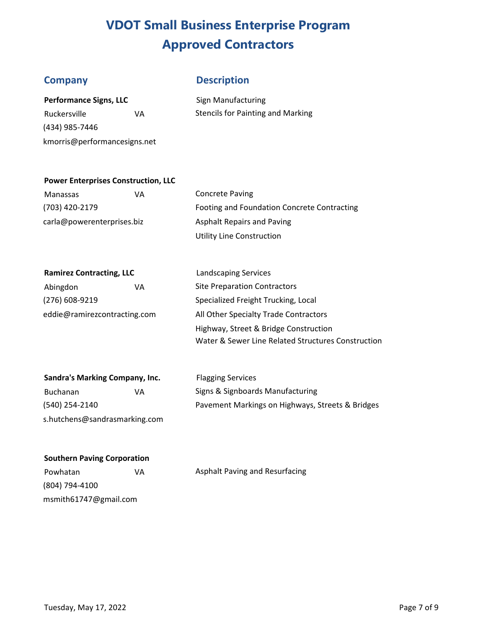# **Company Description**

| <b>Performance Signs, LLC</b> |  |
|-------------------------------|--|
|-------------------------------|--|

(434) 985-7446 kmorris@performancesigns.net

**Sign Manufacturing** Ruckersville **VA** Stencils for Painting and Marking

## **Power Enterprises Construction, LLC**

Manassas VA Concrete Paving carla@powerenterprises.biz Asphalt Repairs and Paving

(703) 420-2179 Footing and Foundation Concrete Contracting Utility Line Construction

### **Ramirez Contracting, LLC** Landscaping Services

Abingdon **VA** Site Preparation Contractors

(276) 608-9219 Specialized Freight Trucking, Local eddie@ramirezcontracting.com All Other Specialty Trade Contractors Highway, Street & Bridge Construction Water & Sewer Line Related Structures Construction

| Sandra's Marking Company, Inc. |    |
|--------------------------------|----|
| <b>Buchanan</b>                | VA |
| (540) 254-2140                 |    |
| s.hutchens@sandrasmarking.com  |    |

**Flagging Services** Signs & Signboards Manufacturing Pavement Markings on Highways, Streets & Bridges

### **Southern Paving Corporation**

(804) 794-4100 msmith61747@gmail.com

Powhatan VA VA Asphalt Paving and Resurfacing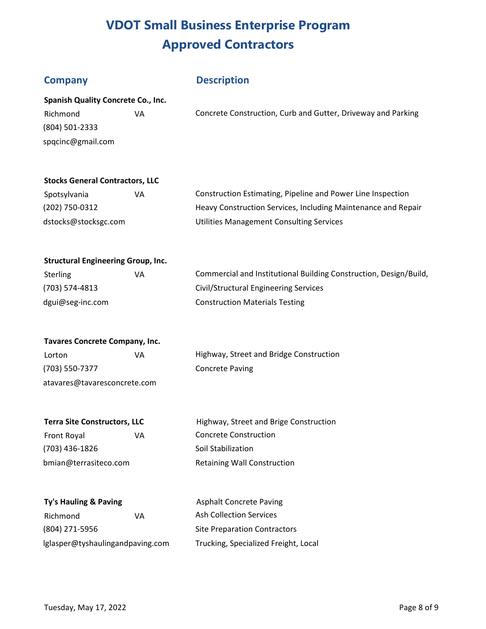# **Company Description**

| <b>Spanish Quality Concrete Co., Inc.</b> |    |                                                              |  |
|-------------------------------------------|----|--------------------------------------------------------------|--|
| Richmond                                  | VA | Concrete Construction, Curb and Gutter, Driveway and Parking |  |
| (804) 501-2333                            |    |                                                              |  |
| spqcinc@gmail.com                         |    |                                                              |  |

### **Stocks General Contractors, LLC**

| Spotsylvania         | VA | Construction Estimating, Pipeline and Power Line Inspection   |
|----------------------|----|---------------------------------------------------------------|
| (202) 750-0312       |    | Heavy Construction Services, Including Maintenance and Repair |
| dstocks@stocksgc.com |    | Utilities Management Consulting Services                      |

### **Structural Engineering Group, Inc.**

| <b>Sterling</b>  | VA | Commercial and Institutional Building Construction, Design/Build, |
|------------------|----|-------------------------------------------------------------------|
| (703) 574-4813   |    | Civil/Structural Engineering Services                             |
| dgui@seg-inc.com |    | <b>Construction Materials Testing</b>                             |

| <b>Tavares Concrete Company, Inc.</b> |    |  |  |  |
|---------------------------------------|----|--|--|--|
| Lorton                                | VА |  |  |  |
| (703) 550-7377                        |    |  |  |  |

atavares@tavaresconcrete.com

Highway, Street and Bridge Construction Concrete Paving

Front Royal **VA** Concrete Construction (703) 436-1826 Soil Stabilization bmian@terrasiteco.com Retaining Wall Construction

**Terra Site Constructors, LLC** Highway, Street and Brige Construction

# **Ty's Hauling & Paving** Richmond VA Ash Collection Services

**Asphalt Concrete Paving** (804) 271-5956 Site Preparation Contractors lglasper@tyshaulingandpaving.com Trucking, Specialized Freight, Local